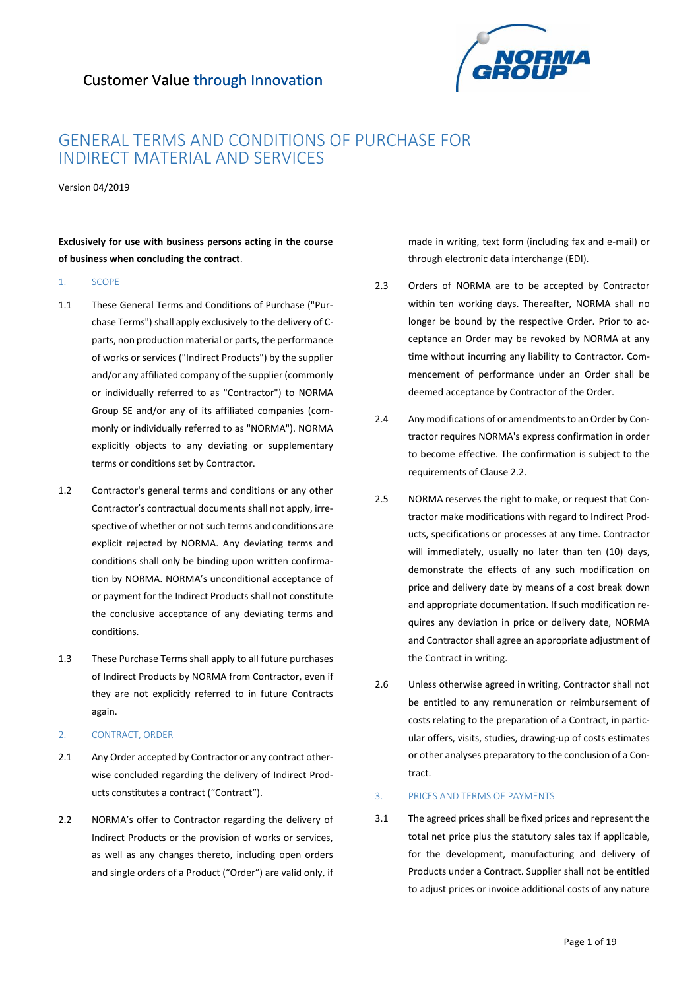

## GENERAL TERMS AND CONDITIONS OF PURCHASE FOR INDIRECT MATERIAL AND SERVICES

Version 04/2019

**Exclusively for use with business persons acting in the course of business when concluding the contract**.

### 1. SCOPE

- 1.1 These General Terms and Conditions of Purchase ("Purchase Terms") shall apply exclusively to the delivery of Cparts, non production material or parts, the performance of works or services ("Indirect Products") by the supplier and/or any affiliated company of the supplier (commonly or individually referred to as "Contractor") to NORMA Group SE and/or any of its affiliated companies (commonly or individually referred to as "NORMA"). NORMA explicitly objects to any deviating or supplementary terms or conditions set by Contractor.
- 1.2 Contractor's general terms and conditions or any other Contractor's contractual documents shall not apply, irrespective of whether or not such terms and conditions are explicit rejected by NORMA. Any deviating terms and conditions shall only be binding upon written confirmation by NORMA. NORMA's unconditional acceptance of or payment for the Indirect Products shall not constitute the conclusive acceptance of any deviating terms and conditions.
- 1.3 These Purchase Terms shall apply to all future purchases of Indirect Products by NORMA from Contractor, even if they are not explicitly referred to in future Contracts again.
- 2. CONTRACT, ORDER
- 2.1 Any Order accepted by Contractor or any contract otherwise concluded regarding the delivery of Indirect Products constitutes a contract ("Contract").
- 2.2 NORMA's offer to Contractor regarding the delivery of Indirect Products or the provision of works or services, as well as any changes thereto, including open orders and single orders of a Product ("Order") are valid only, if

made in writing, text form (including fax and e-mail) or through electronic data interchange (EDI).

- 2.3 Orders of NORMA are to be accepted by Contractor within ten working days. Thereafter, NORMA shall no longer be bound by the respective Order. Prior to acceptance an Order may be revoked by NORMA at any time without incurring any liability to Contractor. Commencement of performance under an Order shall be deemed acceptance by Contractor of the Order.
- 2.4 Any modifications of or amendments to an Order by Contractor requires NORMA's express confirmation in order to become effective. The confirmation is subject to the requirements of Clause 2.2.
- 2.5 NORMA reserves the right to make, or request that Contractor make modifications with regard to Indirect Products, specifications or processes at any time. Contractor will immediately, usually no later than ten (10) days, demonstrate the effects of any such modification on price and delivery date by means of a cost break down and appropriate documentation. If such modification requires any deviation in price or delivery date, NORMA and Contractor shall agree an appropriate adjustment of the Contract in writing.
- 2.6 Unless otherwise agreed in writing, Contractor shall not be entitled to any remuneration or reimbursement of costs relating to the preparation of a Contract, in particular offers, visits, studies, drawing-up of costs estimates or other analyses preparatory to the conclusion of a Contract.

## 3. PRICES AND TERMS OF PAYMENTS

3.1 The agreed prices shall be fixed prices and represent the total net price plus the statutory sales tax if applicable, for the development, manufacturing and delivery of Products under a Contract. Supplier shall not be entitled to adjust prices or invoice additional costs of any nature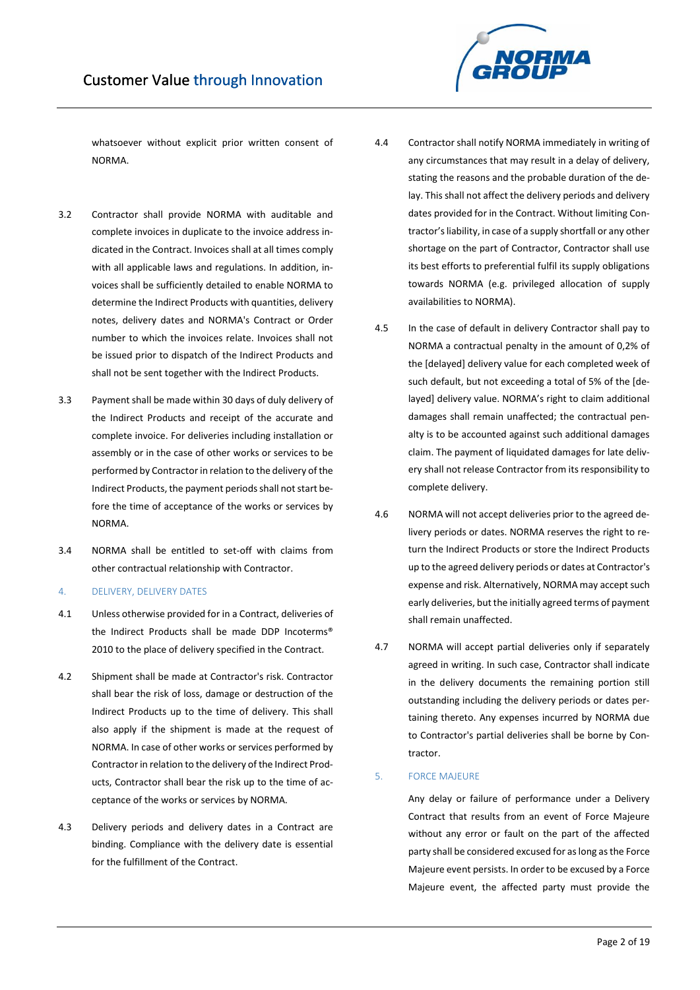

whatsoever without explicit prior written consent of NORMA.

- 3.2 Contractor shall provide NORMA with auditable and complete invoices in duplicate to the invoice address indicated in the Contract. Invoices shall at all times comply with all applicable laws and regulations. In addition, invoices shall be sufficiently detailed to enable NORMA to determine the Indirect Products with quantities, delivery notes, delivery dates and NORMA's Contract or Order number to which the invoices relate. Invoices shall not be issued prior to dispatch of the Indirect Products and shall not be sent together with the Indirect Products.
- 3.3 Payment shall be made within 30 days of duly delivery of the Indirect Products and receipt of the accurate and complete invoice. For deliveries including installation or assembly or in the case of other works or services to be performed by Contractor in relation to the delivery of the Indirect Products, the payment periods shall not start before the time of acceptance of the works or services by NORMA.
- 3.4 NORMA shall be entitled to set-off with claims from other contractual relationship with Contractor.
- 4. DELIVERY, DELIVERY DATES
- 4.1 Unless otherwise provided for in a Contract, deliveries of the Indirect Products shall be made DDP Incoterms® 2010 to the place of delivery specified in the Contract.
- 4.2 Shipment shall be made at Contractor's risk. Contractor shall bear the risk of loss, damage or destruction of the Indirect Products up to the time of delivery. This shall also apply if the shipment is made at the request of NORMA. In case of other works or services performed by Contractor in relation to the delivery of the Indirect Products, Contractor shall bear the risk up to the time of acceptance of the works or services by NORMA.
- 4.3 Delivery periods and delivery dates in a Contract are binding. Compliance with the delivery date is essential for the fulfillment of the Contract.
- 4.4 Contractor shall notify NORMA immediately in writing of any circumstances that may result in a delay of delivery, stating the reasons and the probable duration of the delay. This shall not affect the delivery periods and delivery dates provided for in the Contract. Without limiting Contractor's liability, in case of a supply shortfall or any other shortage on the part of Contractor, Contractor shall use its best efforts to preferential fulfil its supply obligations towards NORMA (e.g. privileged allocation of supply availabilities to NORMA).
- 4.5 In the case of default in delivery Contractor shall pay to NORMA a contractual penalty in the amount of 0,2% of the [delayed] delivery value for each completed week of such default, but not exceeding a total of 5% of the [delayed] delivery value. NORMA's right to claim additional damages shall remain unaffected; the contractual penalty is to be accounted against such additional damages claim. The payment of liquidated damages for late delivery shall not release Contractor from its responsibility to complete delivery.
- 4.6 NORMA will not accept deliveries prior to the agreed delivery periods or dates. NORMA reserves the right to return the Indirect Products or store the Indirect Products up to the agreed delivery periods or dates at Contractor's expense and risk. Alternatively, NORMA may accept such early deliveries, but the initially agreed terms of payment shall remain unaffected.
- 4.7 NORMA will accept partial deliveries only if separately agreed in writing. In such case, Contractor shall indicate in the delivery documents the remaining portion still outstanding including the delivery periods or dates pertaining thereto. Any expenses incurred by NORMA due to Contractor's partial deliveries shall be borne by Contractor.

## 5. FORCE MAJEURE

Any delay or failure of performance under a Delivery Contract that results from an event of Force Majeure without any error or fault on the part of the affected party shall be considered excused for as long as the Force Majeure event persists. In order to be excused by a Force Majeure event, the affected party must provide the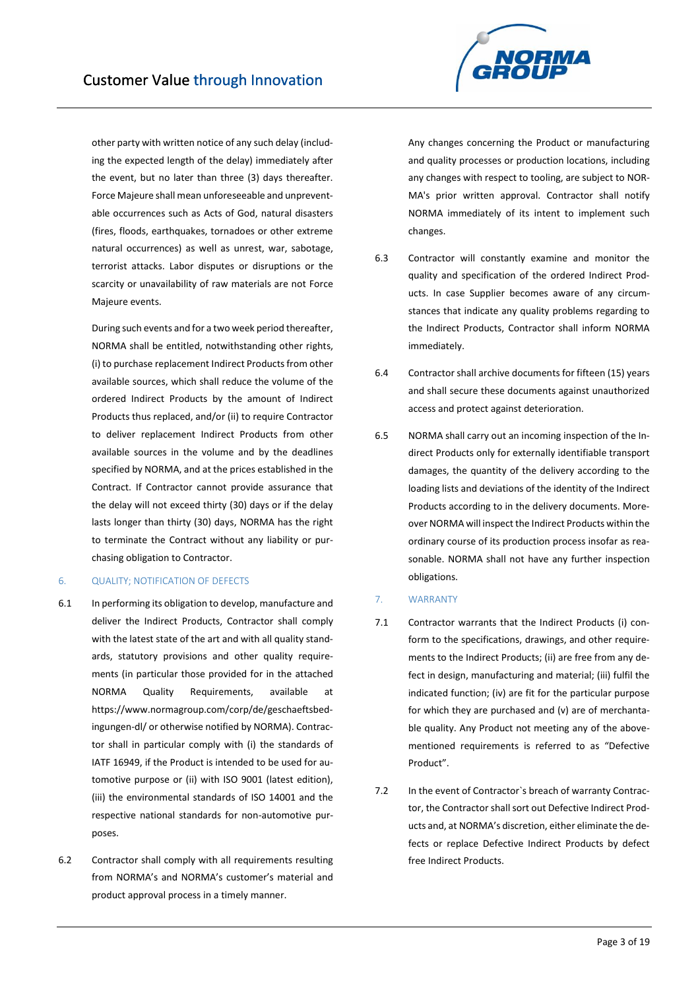

other party with written notice of any such delay (including the expected length of the delay) immediately after the event, but no later than three (3) days thereafter. Force Majeure shall mean unforeseeable and unpreventable occurrences such as Acts of God, natural disasters (fires, floods, earthquakes, tornadoes or other extreme natural occurrences) as well as unrest, war, sabotage, terrorist attacks. Labor disputes or disruptions or the scarcity or unavailability of raw materials are not Force Majeure events.

During such events and for a two week period thereafter, NORMA shall be entitled, notwithstanding other rights, (i) to purchase replacement Indirect Products from other available sources, which shall reduce the volume of the ordered Indirect Products by the amount of Indirect Products thus replaced, and/or (ii) to require Contractor to deliver replacement Indirect Products from other available sources in the volume and by the deadlines specified by NORMA, and at the prices established in the Contract. If Contractor cannot provide assurance that the delay will not exceed thirty (30) days or if the delay lasts longer than thirty (30) days, NORMA has the right to terminate the Contract without any liability or purchasing obligation to Contractor.

## 6. QUALITY; NOTIFICATION OF DEFECTS

- 6.1 In performing its obligation to develop, manufacture and deliver the Indirect Products, Contractor shall comply with the latest state of the art and with all quality standards, statutory provisions and other quality requirements (in particular those provided for in the attached NORMA Quality Requirements, available at https://www.normagroup.com/corp/de/geschaeftsbedingungen-dl/ or otherwise notified by NORMA). Contractor shall in particular comply with (i) the standards of IATF 16949, if the Product is intended to be used for automotive purpose or (ii) with ISO 9001 (latest edition), (iii) the environmental standards of ISO 14001 and the respective national standards for non-automotive purposes.
- 6.2 Contractor shall comply with all requirements resulting from NORMA's and NORMA's customer's material and product approval process in a timely manner.

Any changes concerning the Product or manufacturing and quality processes or production locations, including any changes with respect to tooling, are subject to NOR-MA's prior written approval. Contractor shall notify NORMA immediately of its intent to implement such changes.

- 6.3 Contractor will constantly examine and monitor the quality and specification of the ordered Indirect Products. In case Supplier becomes aware of any circumstances that indicate any quality problems regarding to the Indirect Products, Contractor shall inform NORMA immediately.
- 6.4 Contractor shall archive documents for fifteen (15) years and shall secure these documents against unauthorized access and protect against deterioration.
- 6.5 NORMA shall carry out an incoming inspection of the Indirect Products only for externally identifiable transport damages, the quantity of the delivery according to the loading lists and deviations of the identity of the Indirect Products according to in the delivery documents. Moreover NORMA will inspect the Indirect Products within the ordinary course of its production process insofar as reasonable. NORMA shall not have any further inspection obligations.

## 7. WARRANTY

- 7.1 Contractor warrants that the Indirect Products (i) conform to the specifications, drawings, and other requirements to the Indirect Products; (ii) are free from any defect in design, manufacturing and material; (iii) fulfil the indicated function; (iv) are fit for the particular purpose for which they are purchased and (v) are of merchantable quality. Any Product not meeting any of the abovementioned requirements is referred to as "Defective Product".
- 7.2 In the event of Contractor`s breach of warranty Contractor, the Contractor shall sort out Defective Indirect Products and, at NORMA's discretion, either eliminate the defects or replace Defective Indirect Products by defect free Indirect Products.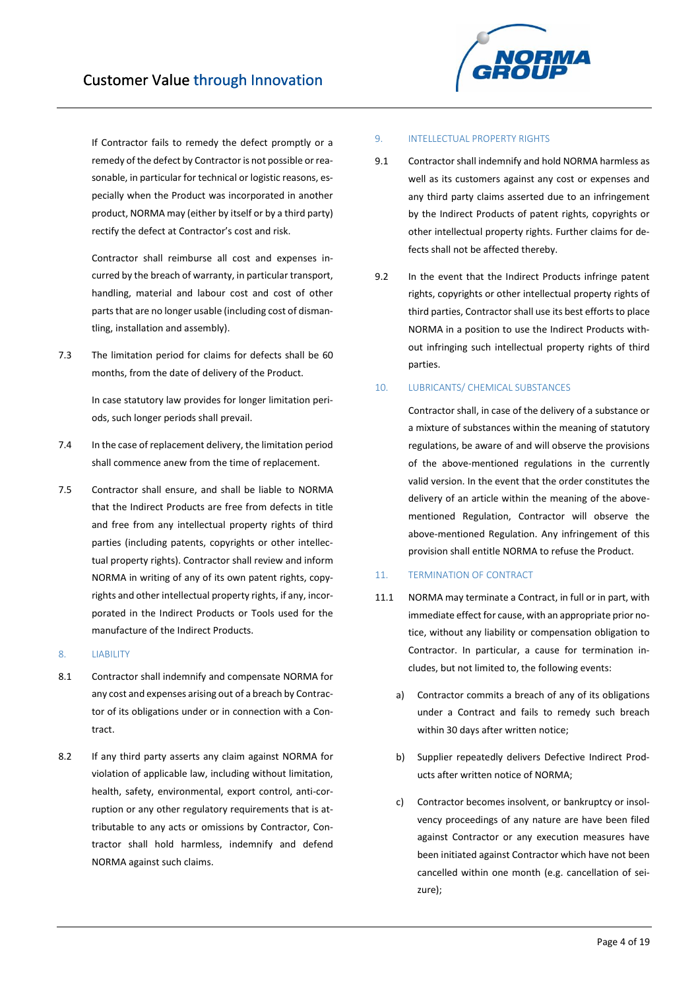If Contractor fails to remedy the defect promptly or a remedy of the defect by Contractor is not possible or reasonable, in particular for technical or logistic reasons, especially when the Product was incorporated in another product, NORMA may (either by itself or by a third party) rectify the defect at Contractor's cost and risk.

Contractor shall reimburse all cost and expenses incurred by the breach of warranty, in particular transport, handling, material and labour cost and cost of other parts that are no longer usable (including cost of dismantling, installation and assembly).

7.3 The limitation period for claims for defects shall be 60 months, from the date of delivery of the Product.

> In case statutory law provides for longer limitation periods, such longer periods shall prevail.

- 7.4 In the case of replacement delivery, the limitation period shall commence anew from the time of replacement.
- 7.5 Contractor shall ensure, and shall be liable to NORMA that the Indirect Products are free from defects in title and free from any intellectual property rights of third parties (including patents, copyrights or other intellectual property rights). Contractor shall review and inform NORMA in writing of any of its own patent rights, copyrights and other intellectual property rights, if any, incorporated in the Indirect Products or Tools used for the manufacture of the Indirect Products.

## 8. LIABILITY

- 8.1 Contractor shall indemnify and compensate NORMA for any cost and expenses arising out of a breach by Contractor of its obligations under or in connection with a Contract.
- 8.2 If any third party asserts any claim against NORMA for violation of applicable law, including without limitation, health, safety, environmental, export control, anti-corruption or any other regulatory requirements that is attributable to any acts or omissions by Contractor, Contractor shall hold harmless, indemnify and defend NORMA against such claims.

## 9. INTELLECTUAL PROPERTY RIGHTS

- 9.1 Contractor shall indemnify and hold NORMA harmless as well as its customers against any cost or expenses and any third party claims asserted due to an infringement by the Indirect Products of patent rights, copyrights or other intellectual property rights. Further claims for defects shall not be affected thereby.
- 9.2 In the event that the Indirect Products infringe patent rights, copyrights or other intellectual property rights of third parties, Contractor shall use its best efforts to place NORMA in a position to use the Indirect Products without infringing such intellectual property rights of third parties.

## 10. LUBRICANTS/ CHEMICAL SUBSTANCES

Contractor shall, in case of the delivery of a substance or a mixture of substances within the meaning of statutory regulations, be aware of and will observe the provisions of the above-mentioned regulations in the currently valid version. In the event that the order constitutes the delivery of an article within the meaning of the abovementioned Regulation, Contractor will observe the above-mentioned Regulation. Any infringement of this provision shall entitle NORMA to refuse the Product.

## 11. TERMINATION OF CONTRACT

- 11.1 NORMA may terminate a Contract, in full or in part, with immediate effect for cause, with an appropriate prior notice, without any liability or compensation obligation to Contractor. In particular, a cause for termination includes, but not limited to, the following events:
	- a) Contractor commits a breach of any of its obligations under a Contract and fails to remedy such breach within 30 days after written notice;
	- b) Supplier repeatedly delivers Defective Indirect Products after written notice of NORMA;
	- c) Contractor becomes insolvent, or bankruptcy or insolvency proceedings of any nature are have been filed against Contractor or any execution measures have been initiated against Contractor which have not been cancelled within one month (e.g. cancellation of seizure);

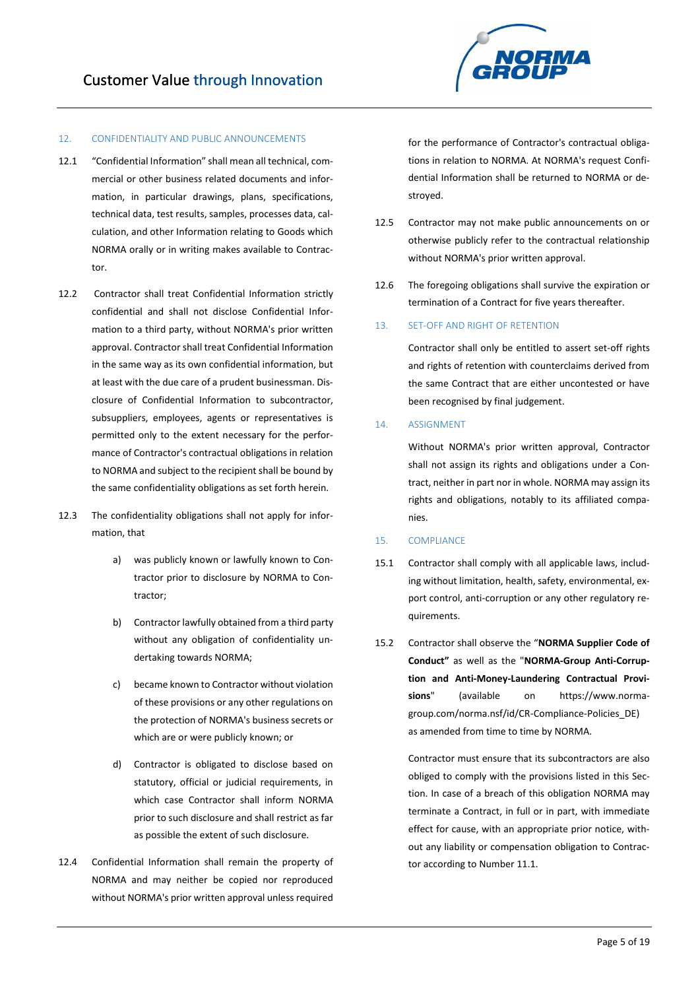

## 12. CONFIDENTIALITY AND PUBLIC ANNOUNCEMENTS

- 12.1 "Confidential Information" shall mean all technical, commercial or other business related documents and information, in particular drawings, plans, specifications, technical data, test results, samples, processes data, calculation, and other Information relating to Goods which NORMA orally or in writing makes available to Contractor.
- 12.2 Contractor shall treat Confidential Information strictly confidential and shall not disclose Confidential Information to a third party, without NORMA's prior written approval. Contractor shall treat Confidential Information in the same way as its own confidential information, but at least with the due care of a prudent businessman. Disclosure of Confidential Information to subcontractor, subsuppliers, employees, agents or representatives is permitted only to the extent necessary for the performance of Contractor's contractual obligations in relation to NORMA and subject to the recipient shall be bound by the same confidentiality obligations as set forth herein.
- 12.3 The confidentiality obligations shall not apply for information, that
	- a) was publicly known or lawfully known to Contractor prior to disclosure by NORMA to Contractor;
	- b) Contractor lawfully obtained from a third party without any obligation of confidentiality undertaking towards NORMA;
	- c) became known to Contractor without violation of these provisions or any other regulations on the protection of NORMA's business secrets or which are or were publicly known; or
	- d) Contractor is obligated to disclose based on statutory, official or judicial requirements, in which case Contractor shall inform NORMA prior to such disclosure and shall restrict as far as possible the extent of such disclosure.
- 12.4 Confidential Information shall remain the property of NORMA and may neither be copied nor reproduced without NORMA's prior written approval unless required

for the performance of Contractor's contractual obligations in relation to NORMA. At NORMA's request Confidential Information shall be returned to NORMA or destroyed.

- 12.5 Contractor may not make public announcements on or otherwise publicly refer to the contractual relationship without NORMA's prior written approval.
- 12.6 The foregoing obligations shall survive the expiration or termination of a Contract for five years thereafter.
- 13. SET-OFF AND RIGHT OF RETENTION

Contractor shall only be entitled to assert set-off rights and rights of retention with counterclaims derived from the same Contract that are either uncontested or have been recognised by final judgement.

### 14. ASSIGNMENT

Without NORMA's prior written approval, Contractor shall not assign its rights and obligations under a Contract, neither in part nor in whole. NORMA may assign its rights and obligations, notably to its affiliated companies.

#### 15. COMPLIANCE

- 15.1 Contractor shall comply with all applicable laws, including without limitation, health, safety, environmental, export control, anti-corruption or any other regulatory requirements.
- 15.2 Contractor shall observe the "**NORMA Supplier Code of Conduct"** as well as the "**NORMA-Group Anti-Corruption and Anti-Money-Laundering Contractual Provisions**" (available on https://www.normagroup.com/norma.nsf/id/CR-Compliance-Policies\_DE) as amended from time to time by NORMA.

Contractor must ensure that its subcontractors are also obliged to comply with the provisions listed in this Section. In case of a breach of this obligation NORMA may terminate a Contract, in full or in part, with immediate effect for cause, with an appropriate prior notice, without any liability or compensation obligation to Contractor according to Number 11.1.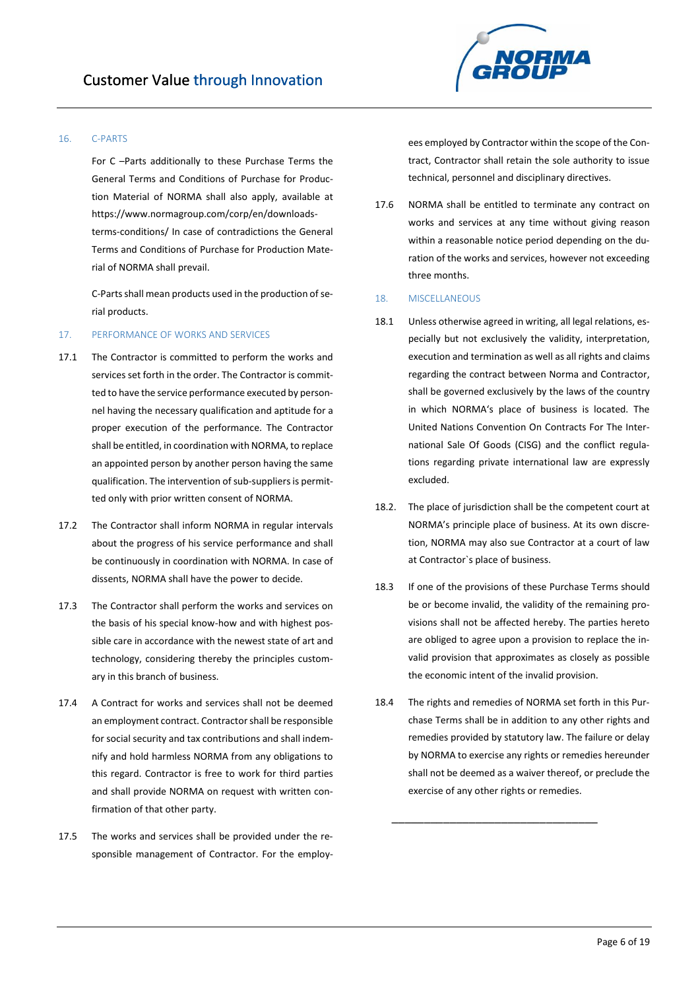

## 16. C-PARTS

For C –Parts additionally to these Purchase Terms the General Terms and Conditions of Purchase for Production Material of NORMA shall also apply, available at [https://www.normagroup.com/corp/en/downloads](https://www.normagroup.com/corp/en/downloads-terms-conditions/)[terms-conditions/](https://www.normagroup.com/corp/en/downloads-terms-conditions/) In case of contradictions the General Terms and Conditions of Purchase for Production Material of NORMA shall prevail.

C-Parts shall mean products used in the production of serial products.

## 17. PERFORMANCE OF WORKS AND SERVICES

- 17.1 The Contractor is committed to perform the works and services set forth in the order. The Contractor is committed to have the service performance executed by personnel having the necessary qualification and aptitude for a proper execution of the performance. The Contractor shall be entitled, in coordination with NORMA, to replace an appointed person by another person having the same qualification. The intervention of sub-suppliers is permitted only with prior written consent of NORMA.
- 17.2 The Contractor shall inform NORMA in regular intervals about the progress of his service performance and shall be continuously in coordination with NORMA. In case of dissents, NORMA shall have the power to decide.
- 17.3 The Contractor shall perform the works and services on the basis of his special know-how and with highest possible care in accordance with the newest state of art and technology, considering thereby the principles customary in this branch of business.
- 17.4 A Contract for works and services shall not be deemed an employment contract. Contractor shall be responsible for social security and tax contributions and shall indemnify and hold harmless NORMA from any obligations to this regard. Contractor is free to work for third parties and shall provide NORMA on request with written confirmation of that other party.
- 17.5 The works and services shall be provided under the responsible management of Contractor. For the employ-

ees employed by Contractor within the scope of the Contract, Contractor shall retain the sole authority to issue technical, personnel and disciplinary directives.

17.6 NORMA shall be entitled to terminate any contract on works and services at any time without giving reason within a reasonable notice period depending on the duration of the works and services, however not exceeding three months.

#### 18. MISCELLANEOUS

- 18.1 Unless otherwise agreed in writing, all legal relations, especially but not exclusively the validity, interpretation, execution and termination as well as all rights and claims regarding the contract between Norma and Contractor, shall be governed exclusively by the laws of the country in which NORMA's place of business is located. The United Nations Convention On Contracts For The International Sale Of Goods (CISG) and the conflict regulations regarding private international law are expressly excluded.
- 18.2. The place of jurisdiction shall be the competent court at NORMA's principle place of business. At its own discretion, NORMA may also sue Contractor at a court of law at Contractor`s place of business.
- 18.3 If one of the provisions of these Purchase Terms should be or become invalid, the validity of the remaining provisions shall not be affected hereby. The parties hereto are obliged to agree upon a provision to replace the invalid provision that approximates as closely as possible the economic intent of the invalid provision.
- 18.4 The rights and remedies of NORMA set forth in this Purchase Terms shall be in addition to any other rights and remedies provided by statutory law. The failure or delay by NORMA to exercise any rights or remedies hereunder shall not be deemed as a waiver thereof, or preclude the exercise of any other rights or remedies.

\_\_\_\_\_\_\_\_\_\_\_\_\_\_\_\_\_\_\_\_\_\_\_\_\_\_\_\_\_\_\_\_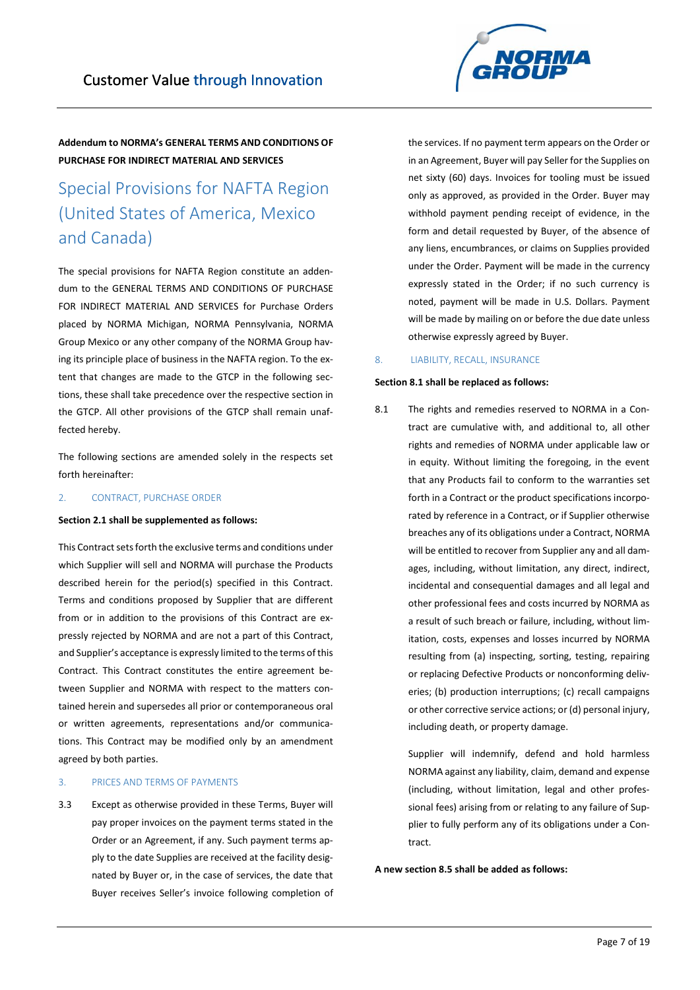# Special Provisions for NAFTA Region (United States of America, Mexico and Canada)

The special provisions for NAFTA Region constitute an addendum to the GENERAL TERMS AND CONDITIONS OF PURCHASE FOR INDIRECT MATERIAL AND SERVICES for Purchase Orders placed by NORMA Michigan, NORMA Pennsylvania, NORMA Group Mexico or any other company of the NORMA Group having its principle place of business in the NAFTA region. To the extent that changes are made to the GTCP in the following sections, these shall take precedence over the respective section in the GTCP. All other provisions of the GTCP shall remain unaffected hereby.

The following sections are amended solely in the respects set forth hereinafter:

## 2. CONTRACT, PURCHASE ORDER

#### **Section 2.1 shall be supplemented as follows:**

This Contract sets forth the exclusive terms and conditions under which Supplier will sell and NORMA will purchase the Products described herein for the period(s) specified in this Contract. Terms and conditions proposed by Supplier that are different from or in addition to the provisions of this Contract are expressly rejected by NORMA and are not a part of this Contract, and Supplier's acceptance is expressly limited to the terms of this Contract. This Contract constitutes the entire agreement between Supplier and NORMA with respect to the matters contained herein and supersedes all prior or contemporaneous oral or written agreements, representations and/or communications. This Contract may be modified only by an amendment agreed by both parties.

## 3. PRICES AND TERMS OF PAYMENTS

3.3 Except as otherwise provided in these Terms, Buyer will pay proper invoices on the payment terms stated in the Order or an Agreement, if any. Such payment terms apply to the date Supplies are received at the facility designated by Buyer or, in the case of services, the date that Buyer receives Seller's invoice following completion of the services. If no payment term appears on the Order or in an Agreement, Buyer will pay Seller for the Supplies on net sixty (60) days. Invoices for tooling must be issued only as approved, as provided in the Order. Buyer may withhold payment pending receipt of evidence, in the form and detail requested by Buyer, of the absence of any liens, encumbrances, or claims on Supplies provided under the Order. Payment will be made in the currency expressly stated in the Order; if no such currency is noted, payment will be made in U.S. Dollars. Payment will be made by mailing on or before the due date unless otherwise expressly agreed by Buyer.

#### 8. LIABILITY, RECALL, INSURANCE

### **Section 8.1 shall be replaced as follows:**

8.1 The rights and remedies reserved to NORMA in a Contract are cumulative with, and additional to, all other rights and remedies of NORMA under applicable law or in equity. Without limiting the foregoing, in the event that any Products fail to conform to the warranties set forth in a Contract or the product specifications incorporated by reference in a Contract, or if Supplier otherwise breaches any of its obligations under a Contract, NORMA will be entitled to recover from Supplier any and all damages, including, without limitation, any direct, indirect, incidental and consequential damages and all legal and other professional fees and costs incurred by NORMA as a result of such breach or failure, including, without limitation, costs, expenses and losses incurred by NORMA resulting from (a) inspecting, sorting, testing, repairing or replacing Defective Products or nonconforming deliveries; (b) production interruptions; (c) recall campaigns or other corrective service actions; or (d) personal injury, including death, or property damage.

> Supplier will indemnify, defend and hold harmless NORMA against any liability, claim, demand and expense (including, without limitation, legal and other professional fees) arising from or relating to any failure of Supplier to fully perform any of its obligations under a Contract.

**A new section 8.5 shall be added as follows:**

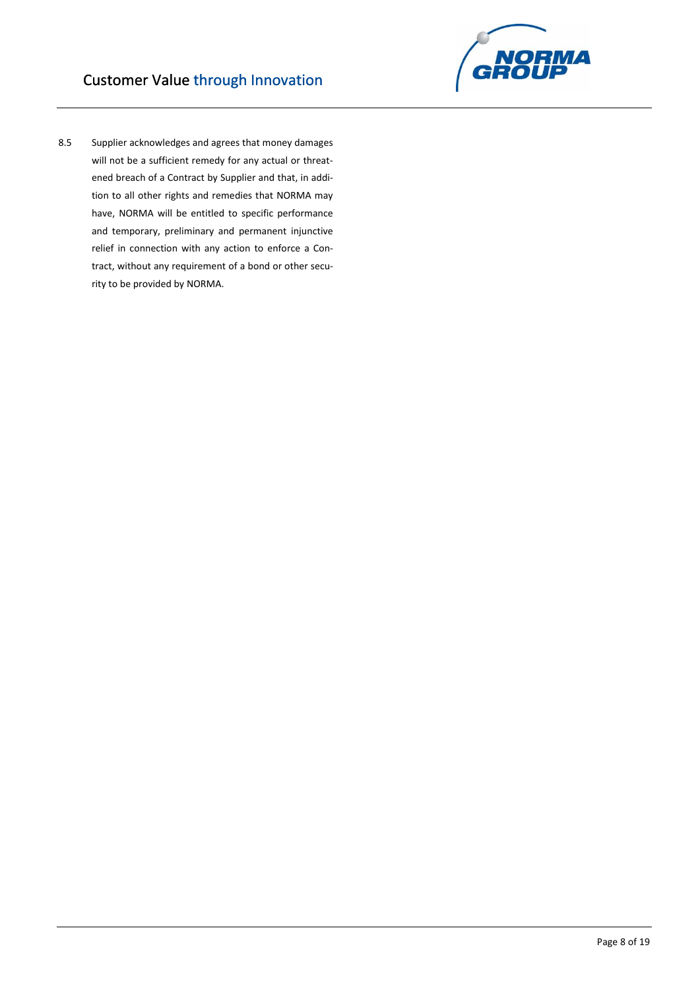

8.5 Supplier acknowledges and agrees that money damages will not be a sufficient remedy for any actual or threatened breach of a Contract by Supplier and that, in addition to all other rights and remedies that NORMA may have, NORMA will be entitled to specific performance and temporary, preliminary and permanent injunctive relief in connection with any action to enforce a Contract, without any requirement of a bond or other security to be provided by NORMA.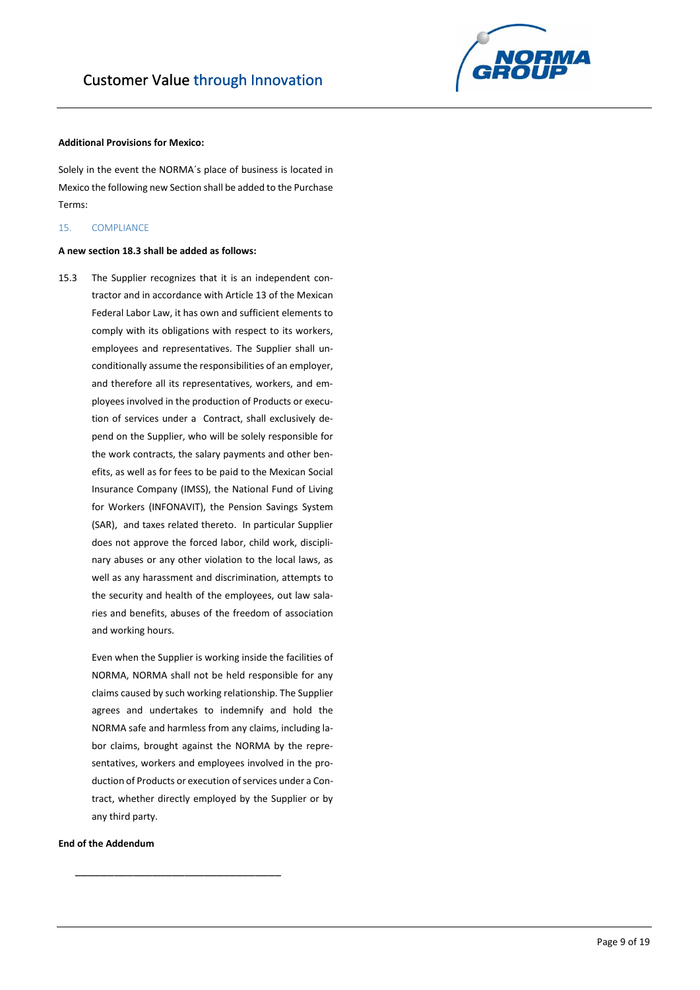

## **Additional Provisions for Mexico:**

Solely in the event the NORMA´s place of business is located in Mexico the following new Section shall be added to the Purchase Terms:

## 15. COMPLIANCE

## **A new section 18.3 shall be added as follows:**

15.3 The Supplier recognizes that it is an independent contractor and in accordance with Article 13 of the Mexican Federal Labor Law, it has own and sufficient elements to comply with its obligations with respect to its workers, employees and representatives. The Supplier shall unconditionally assume the responsibilities of an employer, and therefore all its representatives, workers, and employees involved in the production of Products or execution of services under a Contract, shall exclusively depend on the Supplier, who will be solely responsible for the work contracts, the salary payments and other benefits, as well as for fees to be paid to the Mexican Social Insurance Company (IMSS), the National Fund of Living for Workers (INFONAVIT), the Pension Savings System (SAR), and taxes related thereto. In particular Supplier does not approve the forced labor, child work, disciplinary abuses or any other violation to the local laws, as well as any harassment and discrimination, attempts to the security and health of the employees, out law salaries and benefits, abuses of the freedom of association and working hours.

> Even when the Supplier is working inside the facilities of NORMA, NORMA shall not be held responsible for any claims caused by such working relationship. The Supplier agrees and undertakes to indemnify and hold the NORMA safe and harmless from any claims, including labor claims, brought against the NORMA by the representatives, workers and employees involved in the production of Products or execution of services under a Contract, whether directly employed by the Supplier or by any third party.

\_\_\_\_\_\_\_\_\_\_\_\_\_\_\_\_\_\_\_\_\_\_\_\_\_\_\_\_\_\_\_\_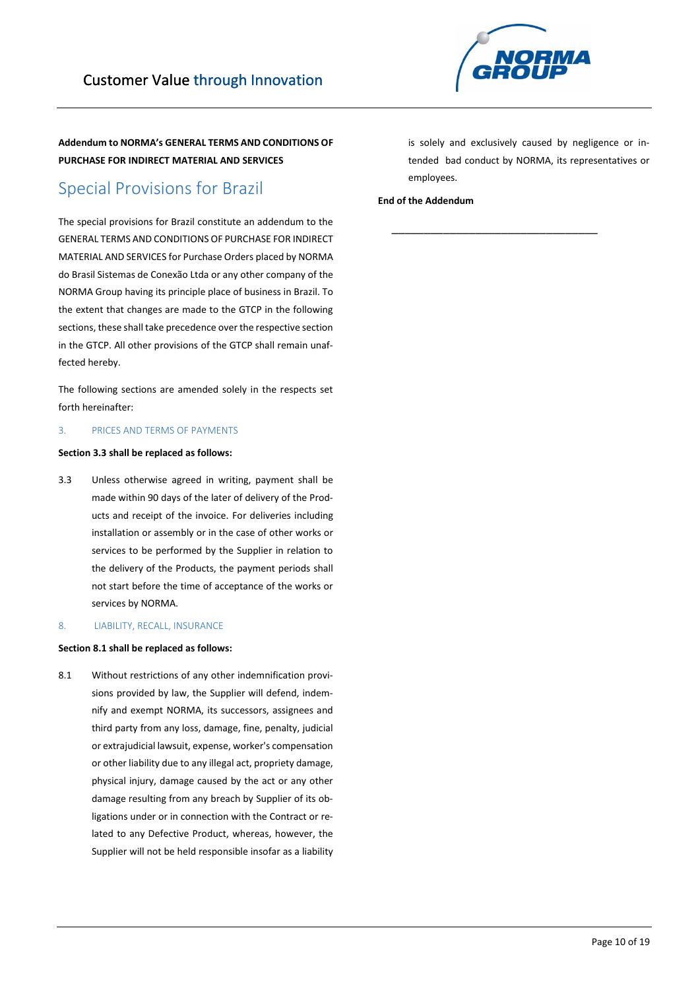

## Special Provisions for Brazil

The special provisions for Brazil constitute an addendum to the GENERAL TERMS AND CONDITIONS OF PURCHASE FOR INDIRECT MATERIAL AND SERVICES for Purchase Orders placed by NORMA do Brasil Sistemas de Conexão Ltda or any other company of the NORMA Group having its principle place of business in Brazil. To the extent that changes are made to the GTCP in the following sections, these shall take precedence over the respective section in the GTCP. All other provisions of the GTCP shall remain unaffected hereby.

The following sections are amended solely in the respects set forth hereinafter:

## 3. PRICES AND TERMS OF PAYMENTS

## **Section 3.3 shall be replaced as follows:**

3.3 Unless otherwise agreed in writing, payment shall be made within 90 days of the later of delivery of the Products and receipt of the invoice. For deliveries including installation or assembly or in the case of other works or services to be performed by the Supplier in relation to the delivery of the Products, the payment periods shall not start before the time of acceptance of the works or services by NORMA.

### 8. LIABILITY, RECALL, INSURANCE

## **Section 8.1 shall be replaced as follows:**

8.1 Without restrictions of any other indemnification provisions provided by law, the Supplier will defend, indemnify and exempt NORMA, its successors, assignees and third party from any loss, damage, fine, penalty, judicial or extrajudicial lawsuit, expense, worker's compensation or other liability due to any illegal act, propriety damage, physical injury, damage caused by the act or any other damage resulting from any breach by Supplier of its obligations under or in connection with the Contract or related to any Defective Product, whereas, however, the Supplier will not be held responsible insofar as a liability

is solely and exclusively caused by negligence or intended bad conduct by NORMA, its representatives or employees.

\_\_\_\_\_\_\_\_\_\_\_\_\_\_\_\_\_\_\_\_\_\_\_\_\_\_\_\_\_\_\_\_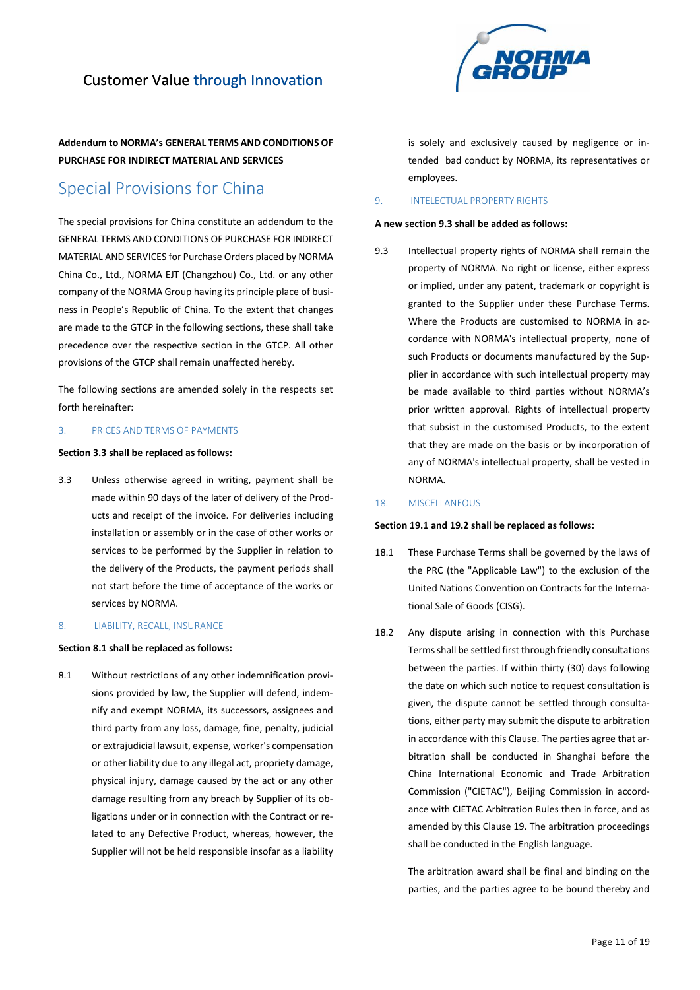**NORMA** 

**Addendum to NORMA's GENERAL TERMS AND CONDITIONS OF PURCHASE FOR INDIRECT MATERIAL AND SERVICES** 

## Special Provisions for China

The special provisions for China constitute an addendum to the GENERAL TERMS AND CONDITIONS OF PURCHASE FOR INDIRECT MATERIAL AND SERVICES for Purchase Orders placed by NORMA China Co., Ltd., NORMA EJT (Changzhou) Co., Ltd. or any other company of the NORMA Group having its principle place of business in People's Republic of China. To the extent that changes are made to the GTCP in the following sections, these shall take precedence over the respective section in the GTCP. All other provisions of the GTCP shall remain unaffected hereby.

The following sections are amended solely in the respects set forth hereinafter:

## 3. PRICES AND TERMS OF PAYMENTS

## **Section 3.3 shall be replaced as follows:**

3.3 Unless otherwise agreed in writing, payment shall be made within 90 days of the later of delivery of the Products and receipt of the invoice. For deliveries including installation or assembly or in the case of other works or services to be performed by the Supplier in relation to the delivery of the Products, the payment periods shall not start before the time of acceptance of the works or services by NORMA.

## 8. LIABILITY, RECALL, INSURANCE

## **Section 8.1 shall be replaced as follows:**

8.1 Without restrictions of any other indemnification provisions provided by law, the Supplier will defend, indemnify and exempt NORMA, its successors, assignees and third party from any loss, damage, fine, penalty, judicial or extrajudicial lawsuit, expense, worker's compensation or other liability due to any illegal act, propriety damage, physical injury, damage caused by the act or any other damage resulting from any breach by Supplier of its obligations under or in connection with the Contract or related to any Defective Product, whereas, however, the Supplier will not be held responsible insofar as a liability

is solely and exclusively caused by negligence or intended bad conduct by NORMA, its representatives or employees.

## 9. INTELECTUAL PROPERTY RIGHTS

## **A new section 9.3 shall be added as follows:**

9.3 Intellectual property rights of NORMA shall remain the property of NORMA. No right or license, either express or implied, under any patent, trademark or copyright is granted to the Supplier under these Purchase Terms. Where the Products are customised to NORMA in accordance with NORMA's intellectual property, none of such Products or documents manufactured by the Supplier in accordance with such intellectual property may be made available to third parties without NORMA's prior written approval. Rights of intellectual property that subsist in the customised Products, to the extent that they are made on the basis or by incorporation of any of NORMA's intellectual property, shall be vested in NORMA.

## 18. MISCELLANEOUS

#### **Section 19.1 and 19.2 shall be replaced as follows:**

- 18.1 These Purchase Terms shall be governed by the laws of the PRC (the "Applicable Law") to the exclusion of the United Nations Convention on Contracts for the International Sale of Goods (CISG).
- 18.2 Any dispute arising in connection with this Purchase Terms shall be settled first through friendly consultations between the parties. If within thirty (30) days following the date on which such notice to request consultation is given, the dispute cannot be settled through consultations, either party may submit the dispute to arbitration in accordance with this Clause. The parties agree that arbitration shall be conducted in Shanghai before the China International Economic and Trade Arbitration Commission ("CIETAC"), Beijing Commission in accordance with CIETAC Arbitration Rules then in force, and as amended by this Clause 19. The arbitration proceedings shall be conducted in the English language.

The arbitration award shall be final and binding on the parties, and the parties agree to be bound thereby and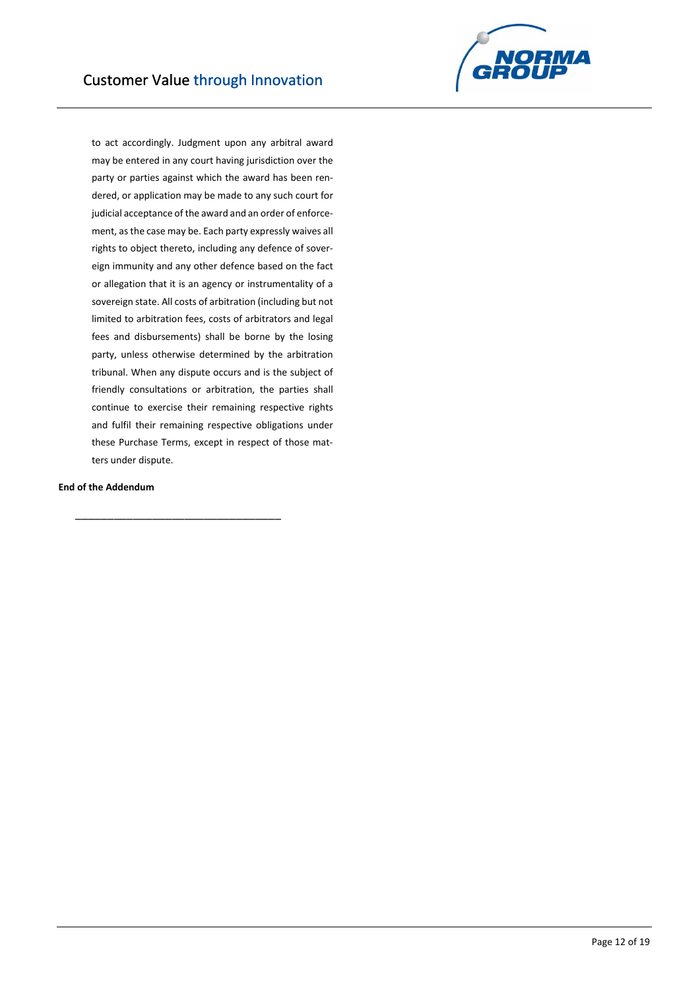

to act accordingly. Judgment upon any arbitral award may be entered in any court having jurisdiction over the party or parties against which the award has been rendered, or application may be made to any such court for judicial acceptance of the award and an order of enforcement, as the case may be. Each party expressly waives all rights to object thereto, including any defence of sovereign immunity and any other defence based on the fact or allegation that it is an agency or instrumentality of a sovereign state. All costs of arbitration (including but not limited to arbitration fees, costs of arbitrators and legal fees and disbursements) shall be borne by the losing party, unless otherwise determined by the arbitration tribunal. When any dispute occurs and is the subject of friendly consultations or arbitration, the parties shall continue to exercise their remaining respective rights and fulfil their remaining respective obligations under these Purchase Terms, except in respect of those matters under dispute.

## **End of the Addendum**

\_\_\_\_\_\_\_\_\_\_\_\_\_\_\_\_\_\_\_\_\_\_\_\_\_\_\_\_\_\_\_\_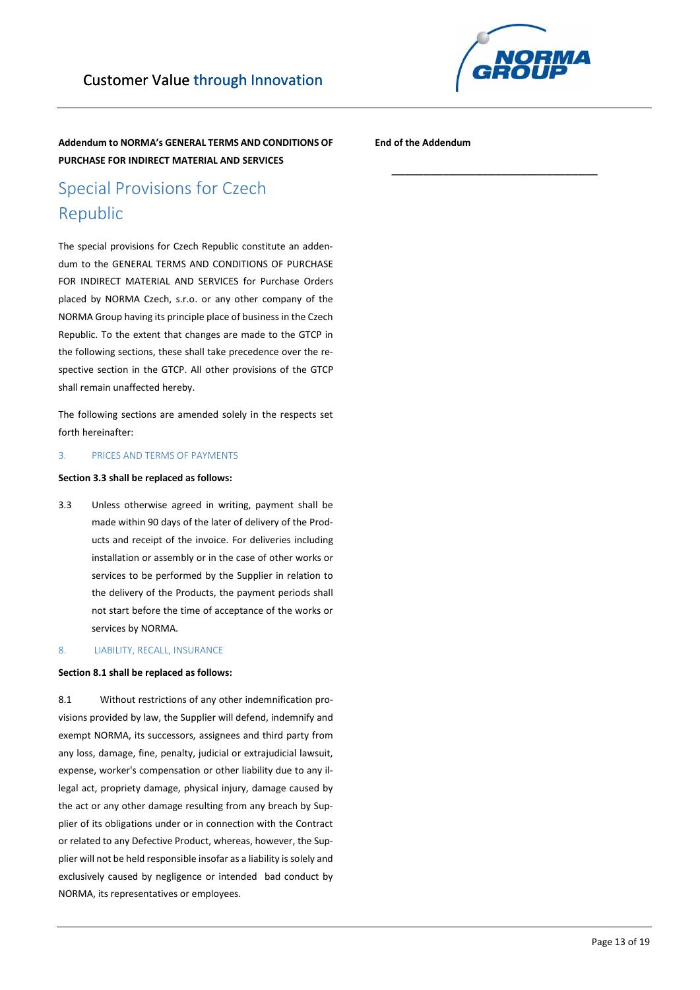

\_\_\_\_\_\_\_\_\_\_\_\_\_\_\_\_\_\_\_\_\_\_\_\_\_\_\_\_\_\_\_\_

**Addendum to NORMA's GENERAL TERMS AND CONDITIONS OF PURCHASE FOR INDIRECT MATERIAL AND SERVICES** 

**End of the Addendum**

# Special Provisions for Czech Republic

The special provisions for Czech Republic constitute an addendum to the GENERAL TERMS AND CONDITIONS OF PURCHASE FOR INDIRECT MATERIAL AND SERVICES for Purchase Orders placed by NORMA Czech, s.r.o. or any other company of the NORMA Group having its principle place of business in the Czech Republic. To the extent that changes are made to the GTCP in the following sections, these shall take precedence over the respective section in the GTCP. All other provisions of the GTCP shall remain unaffected hereby.

The following sections are amended solely in the respects set forth hereinafter:

## 3. PRICES AND TERMS OF PAYMENTS

### **Section 3.3 shall be replaced as follows:**

3.3 Unless otherwise agreed in writing, payment shall be made within 90 days of the later of delivery of the Products and receipt of the invoice. For deliveries including installation or assembly or in the case of other works or services to be performed by the Supplier in relation to the delivery of the Products, the payment periods shall not start before the time of acceptance of the works or services by NORMA.

## 8. LIABILITY, RECALL, INSURANCE

#### **Section 8.1 shall be replaced as follows:**

8.1 Without restrictions of any other indemnification provisions provided by law, the Supplier will defend, indemnify and exempt NORMA, its successors, assignees and third party from any loss, damage, fine, penalty, judicial or extrajudicial lawsuit, expense, worker's compensation or other liability due to any illegal act, propriety damage, physical injury, damage caused by the act or any other damage resulting from any breach by Supplier of its obligations under or in connection with the Contract or related to any Defective Product, whereas, however, the Supplier will not be held responsible insofar as a liability is solely and exclusively caused by negligence or intended bad conduct by NORMA, its representatives or employees.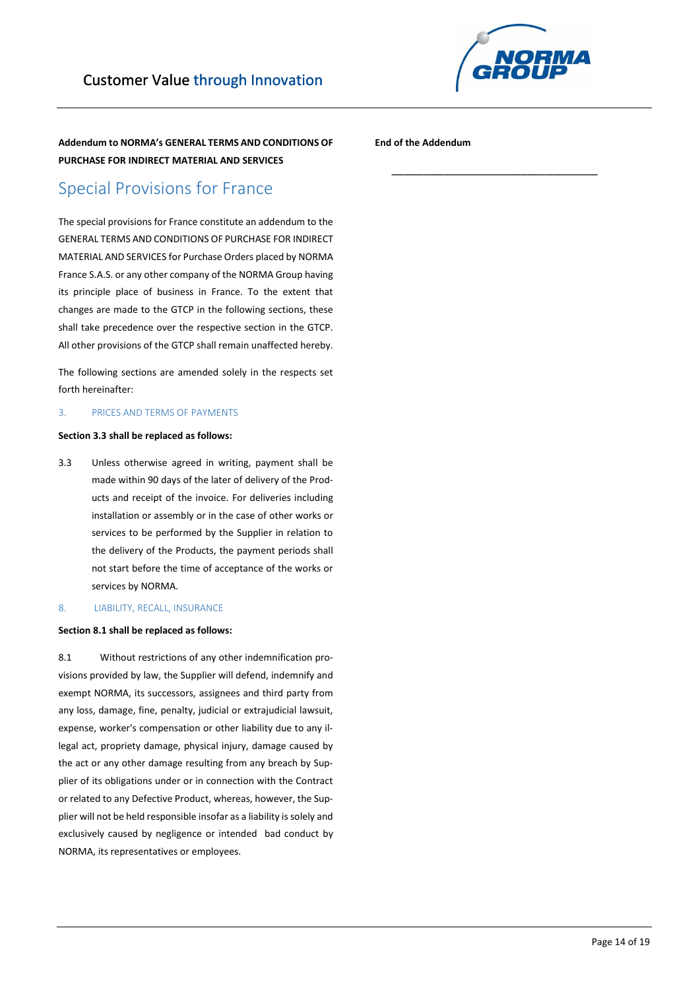

\_\_\_\_\_\_\_\_\_\_\_\_\_\_\_\_\_\_\_\_\_\_\_\_\_\_\_\_\_\_\_\_

**Addendum to NORMA's GENERAL TERMS AND CONDITIONS OF PURCHASE FOR INDIRECT MATERIAL AND SERVICES** 

**End of the Addendum**

## Special Provisions for France

The special provisions for France constitute an addendum to the GENERAL TERMS AND CONDITIONS OF PURCHASE FOR INDIRECT MATERIAL AND SERVICES for Purchase Orders placed by NORMA France S.A.S. or any other company of the NORMA Group having its principle place of business in France. To the extent that changes are made to the GTCP in the following sections, these shall take precedence over the respective section in the GTCP. All other provisions of the GTCP shall remain unaffected hereby.

The following sections are amended solely in the respects set forth hereinafter:

## 3. PRICES AND TERMS OF PAYMENTS

## **Section 3.3 shall be replaced as follows:**

3.3 Unless otherwise agreed in writing, payment shall be made within 90 days of the later of delivery of the Products and receipt of the invoice. For deliveries including installation or assembly or in the case of other works or services to be performed by the Supplier in relation to the delivery of the Products, the payment periods shall not start before the time of acceptance of the works or services by NORMA.

## 8. LIABILITY, RECALL, INSURANCE

## **Section 8.1 shall be replaced as follows:**

8.1 Without restrictions of any other indemnification provisions provided by law, the Supplier will defend, indemnify and exempt NORMA, its successors, assignees and third party from any loss, damage, fine, penalty, judicial or extrajudicial lawsuit, expense, worker's compensation or other liability due to any illegal act, propriety damage, physical injury, damage caused by the act or any other damage resulting from any breach by Supplier of its obligations under or in connection with the Contract or related to any Defective Product, whereas, however, the Supplier will not be held responsible insofar as a liability is solely and exclusively caused by negligence or intended bad conduct by NORMA, its representatives or employees.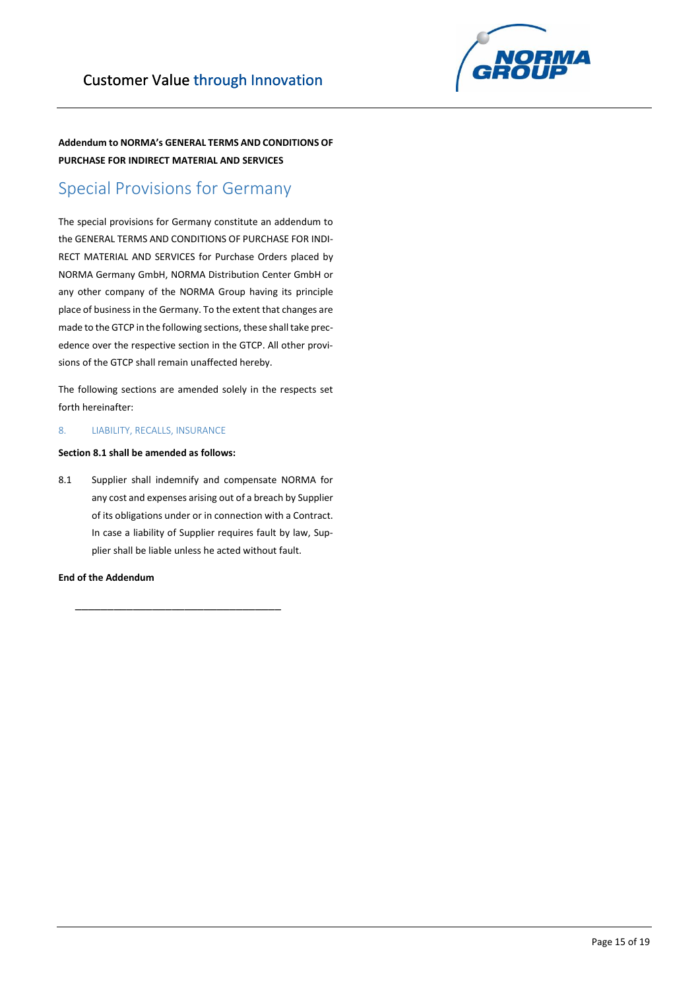

## Special Provisions for Germany

The special provisions for Germany constitute an addendum to the GENERAL TERMS AND CONDITIONS OF PURCHASE FOR INDI-RECT MATERIAL AND SERVICES for Purchase Orders placed by NORMA Germany GmbH, NORMA Distribution Center GmbH or any other company of the NORMA Group having its principle place of business in the Germany. To the extent that changes are made to the GTCP in the following sections, these shall take precedence over the respective section in the GTCP. All other provisions of the GTCP shall remain unaffected hereby.

The following sections are amended solely in the respects set forth hereinafter:

## 8. LIABILITY, RECALLS, INSURANCE

## **Section 8.1 shall be amended as follows:**

8.1 Supplier shall indemnify and compensate NORMA for any cost and expenses arising out of a breach by Supplier of its obligations under or in connection with a Contract. In case a liability of Supplier requires fault by law, Supplier shall be liable unless he acted without fault.

\_\_\_\_\_\_\_\_\_\_\_\_\_\_\_\_\_\_\_\_\_\_\_\_\_\_\_\_\_\_\_\_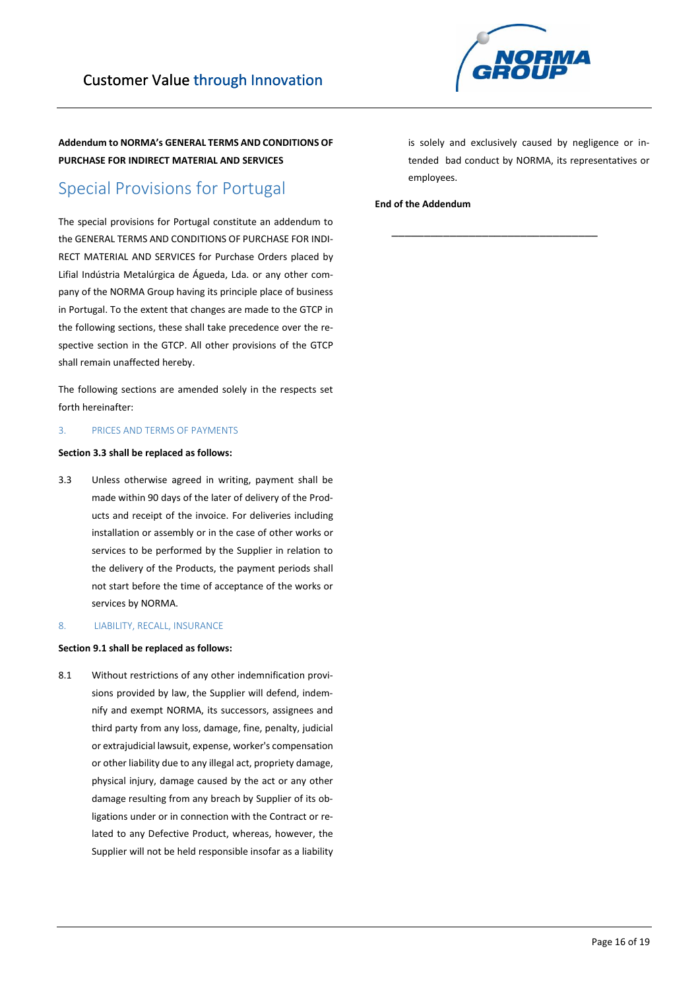

## Special Provisions for Portugal

The special provisions for Portugal constitute an addendum to the GENERAL TERMS AND CONDITIONS OF PURCHASE FOR INDI-RECT MATERIAL AND SERVICES for Purchase Orders placed by Lifial Indústria Metalúrgica de Águeda, Lda. or any other company of the NORMA Group having its principle place of business in Portugal. To the extent that changes are made to the GTCP in the following sections, these shall take precedence over the respective section in the GTCP. All other provisions of the GTCP shall remain unaffected hereby.

The following sections are amended solely in the respects set forth hereinafter:

## 3. PRICES AND TERMS OF PAYMENTS

## **Section 3.3 shall be replaced as follows:**

3.3 Unless otherwise agreed in writing, payment shall be made within 90 days of the later of delivery of the Products and receipt of the invoice. For deliveries including installation or assembly or in the case of other works or services to be performed by the Supplier in relation to the delivery of the Products, the payment periods shall not start before the time of acceptance of the works or services by NORMA.

#### 8. LIABILITY, RECALL, INSURANCE

## **Section 9.1 shall be replaced as follows:**

8.1 Without restrictions of any other indemnification provisions provided by law, the Supplier will defend, indemnify and exempt NORMA, its successors, assignees and third party from any loss, damage, fine, penalty, judicial or extrajudicial lawsuit, expense, worker's compensation or other liability due to any illegal act, propriety damage, physical injury, damage caused by the act or any other damage resulting from any breach by Supplier of its obligations under or in connection with the Contract or related to any Defective Product, whereas, however, the Supplier will not be held responsible insofar as a liability

is solely and exclusively caused by negligence or intended bad conduct by NORMA, its representatives or employees.

\_\_\_\_\_\_\_\_\_\_\_\_\_\_\_\_\_\_\_\_\_\_\_\_\_\_\_\_\_\_\_\_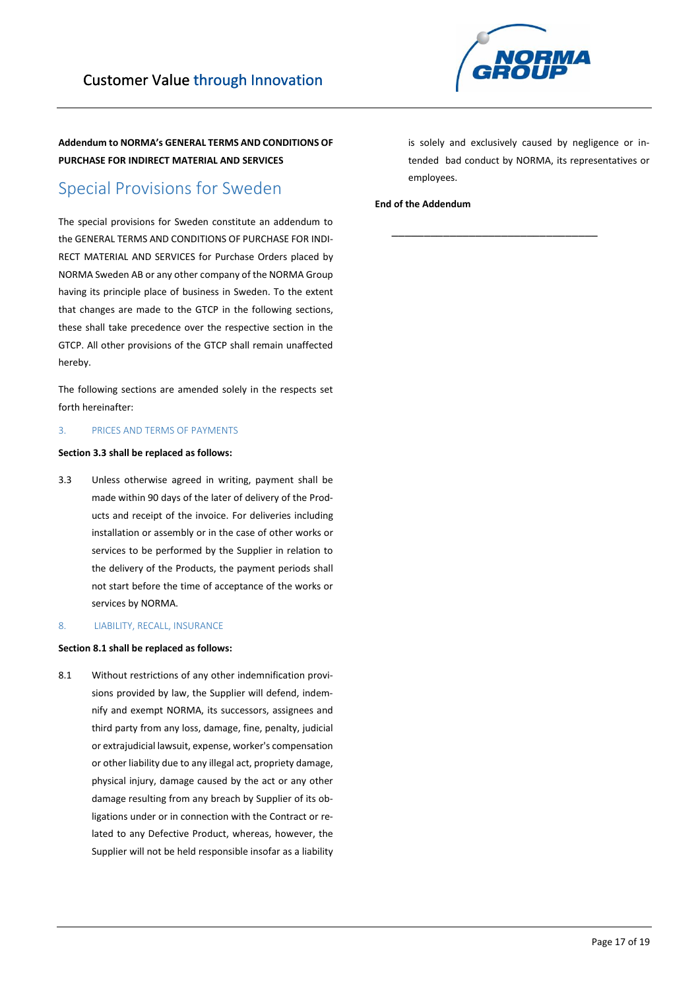

## Special Provisions for Sweden

The special provisions for Sweden constitute an addendum to the GENERAL TERMS AND CONDITIONS OF PURCHASE FOR INDI-RECT MATERIAL AND SERVICES for Purchase Orders placed by NORMA Sweden AB or any other company of the NORMA Group having its principle place of business in Sweden. To the extent that changes are made to the GTCP in the following sections, these shall take precedence over the respective section in the GTCP. All other provisions of the GTCP shall remain unaffected hereby.

The following sections are amended solely in the respects set forth hereinafter:

## 3. PRICES AND TERMS OF PAYMENTS

## **Section 3.3 shall be replaced as follows:**

3.3 Unless otherwise agreed in writing, payment shall be made within 90 days of the later of delivery of the Products and receipt of the invoice. For deliveries including installation or assembly or in the case of other works or services to be performed by the Supplier in relation to the delivery of the Products, the payment periods shall not start before the time of acceptance of the works or services by NORMA.

### 8. LIABILITY, RECALL, INSURANCE

## **Section 8.1 shall be replaced as follows:**

8.1 Without restrictions of any other indemnification provisions provided by law, the Supplier will defend, indemnify and exempt NORMA, its successors, assignees and third party from any loss, damage, fine, penalty, judicial or extrajudicial lawsuit, expense, worker's compensation or other liability due to any illegal act, propriety damage, physical injury, damage caused by the act or any other damage resulting from any breach by Supplier of its obligations under or in connection with the Contract or related to any Defective Product, whereas, however, the Supplier will not be held responsible insofar as a liability

is solely and exclusively caused by negligence or intended bad conduct by NORMA, its representatives or employees.

\_\_\_\_\_\_\_\_\_\_\_\_\_\_\_\_\_\_\_\_\_\_\_\_\_\_\_\_\_\_\_\_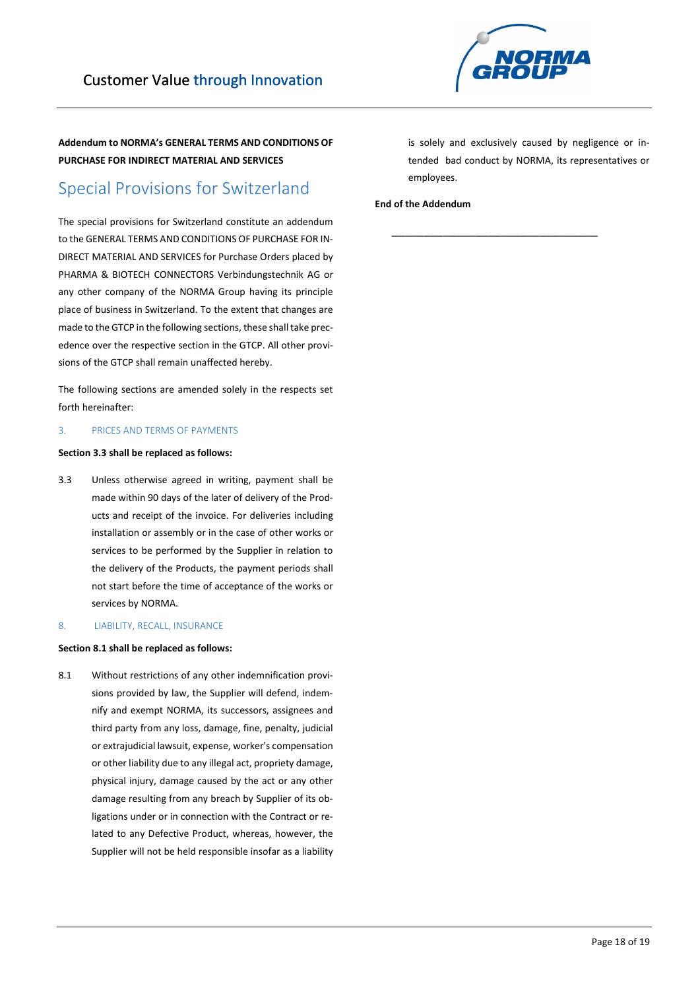

## Special Provisions for Switzerland

The special provisions for Switzerland constitute an addendum to the GENERAL TERMS AND CONDITIONS OF PURCHASE FOR IN-DIRECT MATERIAL AND SERVICES for Purchase Orders placed by PHARMA & BIOTECH CONNECTORS Verbindungstechnik AG or any other company of the NORMA Group having its principle place of business in Switzerland. To the extent that changes are made to the GTCP in the following sections, these shall take precedence over the respective section in the GTCP. All other provisions of the GTCP shall remain unaffected hereby.

The following sections are amended solely in the respects set forth hereinafter:

## 3. PRICES AND TERMS OF PAYMENTS

## **Section 3.3 shall be replaced as follows:**

3.3 Unless otherwise agreed in writing, payment shall be made within 90 days of the later of delivery of the Products and receipt of the invoice. For deliveries including installation or assembly or in the case of other works or services to be performed by the Supplier in relation to the delivery of the Products, the payment periods shall not start before the time of acceptance of the works or services by NORMA.

#### 8. LIABILITY, RECALL, INSURANCE

## **Section 8.1 shall be replaced as follows:**

8.1 Without restrictions of any other indemnification provisions provided by law, the Supplier will defend, indemnify and exempt NORMA, its successors, assignees and third party from any loss, damage, fine, penalty, judicial or extrajudicial lawsuit, expense, worker's compensation or other liability due to any illegal act, propriety damage, physical injury, damage caused by the act or any other damage resulting from any breach by Supplier of its obligations under or in connection with the Contract or related to any Defective Product, whereas, however, the Supplier will not be held responsible insofar as a liability

is solely and exclusively caused by negligence or intended bad conduct by NORMA, its representatives or employees.

\_\_\_\_\_\_\_\_\_\_\_\_\_\_\_\_\_\_\_\_\_\_\_\_\_\_\_\_\_\_\_\_